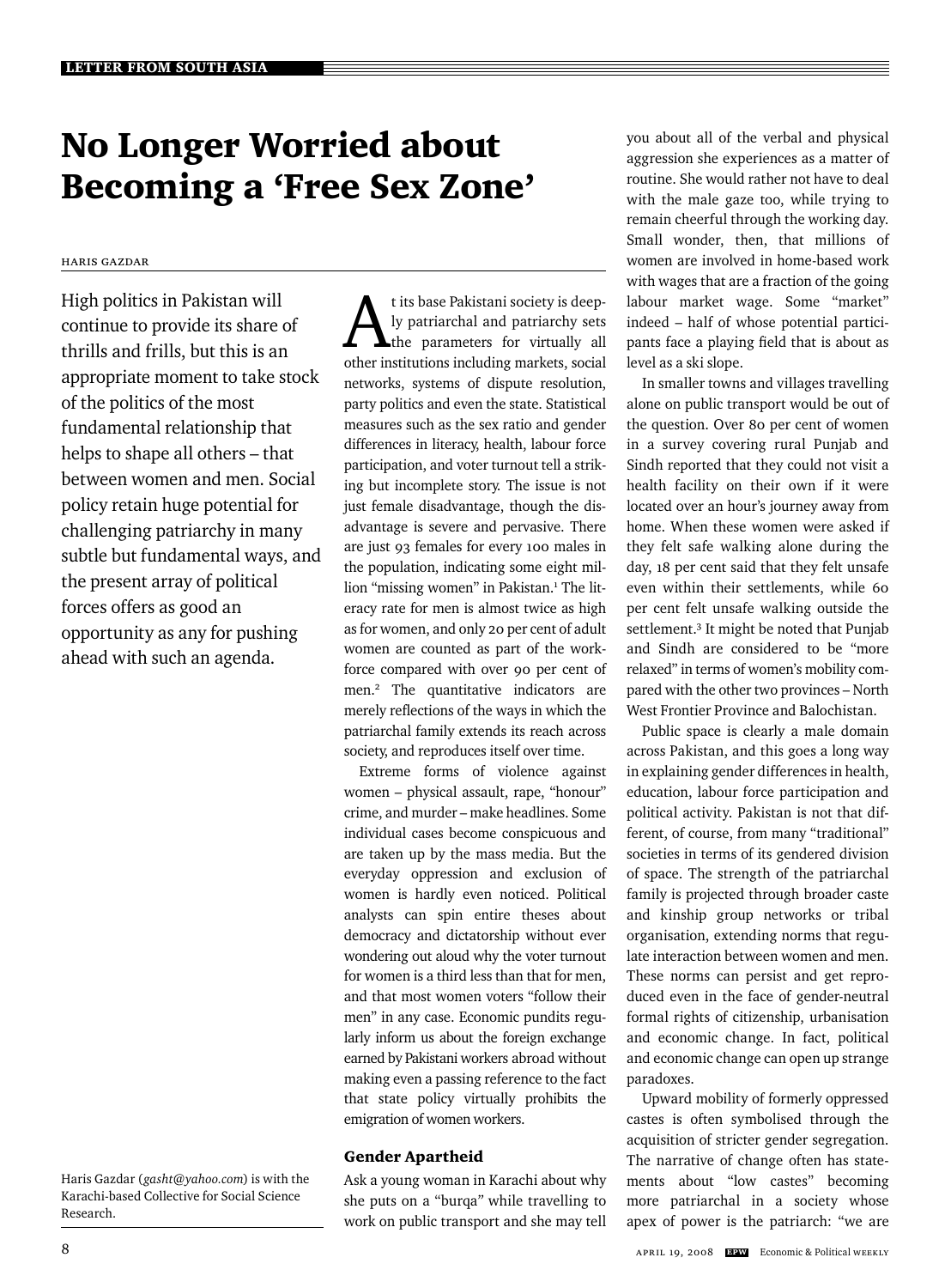# No Longer Worried about Becoming a 'Free Sex Zone'

### Haris Gazdar

High politics in Pakistan will continue to provide its share of thrills and frills, but this is an appropriate moment to take stock of the politics of the most fundamental relationship that helps to shape all others – that between women and men. Social policy retain huge potential for challenging patriarchy in many subtle but fundamental ways, and the present array of political forces offers as good an opportunity as any for pushing ahead with such an agenda.

Haris Gazdar (*gasht@yahoo.com*) is with the Karachi-based Collective for Social Science Research.

At its base Pakistani society is deep-<br>ly patriarchal and patriarchy sets<br>the parameters for virtually all ly patriarchal and patriarchy sets other institutions including markets, social networks, systems of dispute resolution, party politics and even the state. Statistical measures such as the sex ratio and gender differences in literacy, health, labour force participation, and voter turnout tell a striking but incomplete story. The issue is not just female disadvantage, though the disadvantage is severe and pervasive. There are just 93 females for every 100 males in the population, indicating some eight million "missing women" in Pakistan.<sup>1</sup> The literacy rate for men is almost twice as high as for women, and only 20 per cent of adult women are counted as part of the workforce compared with over 90 per cent of men.2 The quantitative indicators are merely reflections of the ways in which the patriarchal family extends its reach across society, and reproduces itself over time.

Extreme forms of violence against women – physical assault, rape, "honour" crime, and murder – make headlines. Some individual cases become conspicuous and are taken up by the mass media. But the everyday oppression and exclusion of women is hardly even noticed. Political analysts can spin entire theses about democracy and dictatorship without ever wondering out aloud why the voter turnout for women is a third less than that for men, and that most women voters "follow their men" in any case. Economic pundits regularly inform us about the foreign exchange earned by Pakistani workers abroad without making even a passing reference to the fact that state policy virtually prohibits the emigration of women workers.

# Gender Apartheid

Ask a young woman in Karachi about why she puts on a "burqa*"* while travelling to work on public transport and she may tell

you about all of the verbal and physical aggression she experiences as a matter of routine. She would rather not have to deal with the male gaze too, while trying to remain cheerful through the working day. Small wonder, then, that millions of women are involved in home-based work with wages that are a fraction of the going labour market wage. Some "market" indeed – half of whose potential participants face a playing field that is about as level as a ski slope.

In smaller towns and villages travelling alone on public transport would be out of the question. Over 80 per cent of women in a survey covering rural Punjab and Sindh reported that they could not visit a health facility on their own if it were located over an hour's journey away from home. When these women were asked if they felt safe walking alone during the day, 18 per cent said that they felt unsafe even within their settlements, while 60 per cent felt unsafe walking outside the settlement.<sup>3</sup> It might be noted that Punjab and Sindh are considered to be "more relaxed" in terms of women's mobility compared with the other two provinces – North West Frontier Province and Balochistan.

Public space is clearly a male domain across Pakistan, and this goes a long way in explaining gender differences in health, education, labour force participation and political activity. Pakistan is not that different, of course, from many "traditional" societies in terms of its gendered division of space. The strength of the patriarchal family is projected through broader caste and kinship group networks or tribal organisation, extending norms that regulate interaction between women and men. These norms can persist and get reproduced even in the face of gender-neutral formal rights of citizenship, urbanisation and economic change. In fact, political and economic change can open up strange paradoxes.

Upward mobility of formerly oppressed castes is often symbolised through the acquisition of stricter gender segregation. The narrative of change often has statements about "low castes" becoming more patriarchal in a society whose apex of power is the patriarch: "we are